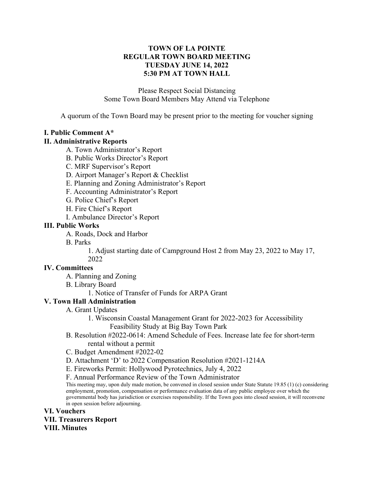## **TOWN OF LA POINTE REGULAR TOWN BOARD MEETING TUESDAY JUNE 14, 2022 5:30 PM AT TOWN HALL**

Please Respect Social Distancing Some Town Board Members May Attend via Telephone

A quorum of the Town Board may be present prior to the meeting for voucher signing

## **I. Public Comment A\***

### **II. Administrative Reports**

- A. Town Administrator's Report
- B. Public Works Director's Report
- C. MRF Supervisor's Report
- D. Airport Manager's Report & Checklist
- E. Planning and Zoning Administrator's Report
- F. Accounting Administrator's Report
- G. Police Chief's Report
- H. Fire Chief's Report
- I. Ambulance Director's Report

## **III. Public Works**

- A. Roads, Dock and Harbor
- B. Parks

1. Adjust starting date of Campground Host 2 from May 23, 2022 to May 17, 2022

### **IV. Committees**

- A. Planning and Zoning
- B. Library Board
	- 1. Notice of Transfer of Funds for ARPA Grant

# **V. Town Hall Administration**

- A. Grant Updates
	- 1. Wisconsin Coastal Management Grant for 2022-2023 for Accessibility Feasibility Study at Big Bay Town Park
- B. Resolution #2022-0614: Amend Schedule of Fees. Increase late fee for short-term rental without a permit
- C. Budget Amendment #2022-02
- D. Attachment 'D' to 2022 Compensation Resolution #2021-1214A
- E. Fireworks Permit: Hollywood Pyrotechnics, July 4, 2022
- F. Annual Performance Review of the Town Administrator

This meeting may, upon duly made motion, be convened in closed session under State Statute 19.85 (1) (c) considering employment, promotion, compensation or performance evaluation data of any public employee over which the governmental body has jurisdiction or exercises responsibility. If the Town goes into closed session, it will reconvene in open session before adjourning.

**VI. Vouchers VII. Treasurers Report VIII. Minutes**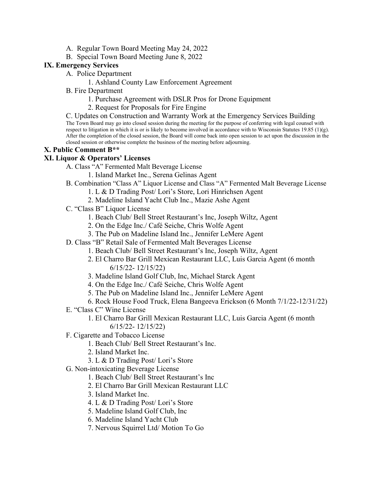- A. Regular Town Board Meeting May 24, 2022
- B. Special Town Board Meeting June 8, 2022

## **IX. Emergency Services**

- A. Police Department
	- 1. Ashland County Law Enforcement Agreement
- B. Fire Department
	- 1. Purchase Agreement with DSLR Pros for Drone Equipment
	- 2. Request for Proposals for Fire Engine

C. Updates on Construction and Warranty Work at the Emergency Services Building The Town Board may go into closed session during the meeting for the purpose of conferring with legal counsel with respect to litigation in which it is or is likely to become involved in accordance with to Wisconsin Statutes 19.85 (1)(g). After the completion of the closed session, the Board will come back into open session to act upon the discussion in the closed session or otherwise complete the business of the meeting before adjourning.

## **X. Public Comment B\*\***

## **XI. Liquor & Operators' Licenses**

- A. Class "A" Fermented Malt Beverage License
	- 1. Island Market Inc., Serena Gelinas Agent
- B. Combination "Class A" Liquor License and Class "A" Fermented Malt Beverage License
	- 1. L & D Trading Post/ Lori's Store, Lori Hinrichsen Agent
	- 2. Madeline Island Yacht Club Inc., Mazie Ashe Agent
- C. "Class B" Liquor License
	- 1. Beach Club/ Bell Street Restaurant's Inc, Joseph Wiltz, Agent
	- 2. On the Edge Inc./ Café Seiche, Chris Wolfe Agent
	- 3. The Pub on Madeline Island Inc., Jennifer LeMere Agent
- D. Class "B" Retail Sale of Fermented Malt Beverages License
	- 1. Beach Club/ Bell Street Restaurant's Inc, Joseph Wiltz, Agent
	- 2. El Charro Bar Grill Mexican Restaurant LLC, Luis Garcia Agent (6 month 6/15/22- 12/15/22)
	- 3. Madeline Island Golf Club, Inc, Michael Starck Agent
	- 4. On the Edge Inc./ Café Seiche, Chris Wolfe Agent
	- 5. The Pub on Madeline Island Inc., Jennifer LeMere Agent
	- 6. Rock House Food Truck, Elena Bangeeva Erickson (6 Month 7/1/22-12/31/22)
- E. "Class C" Wine License
	- 1. El Charro Bar Grill Mexican Restaurant LLC, Luis Garcia Agent (6 month 6/15/22- 12/15/22)
- F. Cigarette and Tobacco License
	- 1. Beach Club/ Bell Street Restaurant's Inc.
	- 2. Island Market Inc.
	- 3. L & D Trading Post/ Lori's Store
- G. Non-intoxicating Beverage License
	- 1. Beach Club/ Bell Street Restaurant's Inc
	- 2. El Charro Bar Grill Mexican Restaurant LLC
	- 3. Island Market Inc.
	- 4. L & D Trading Post/ Lori's Store
	- 5. Madeline Island Golf Club, Inc
	- 6. Madeline Island Yacht Club
	- 7. Nervous Squirrel Ltd/ Motion To Go